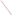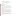# **Technical Factsheet on: EPICHLOROHYDRIN**

[List of Contaminants](http://www.epa.gov/safewater/hfacts.html) 

 As part of the Drinking Water and Health pages, this fact sheet is part of a larger publication: **National Primary Drinking Water Regulations** 

#### **Drinking Water Standards**

 HAL(child): 1- to 10-day: 0.1 mg/L; Longer-term: 0.07 mg/L MCLG: zero mg/L MCL: Treatment technique

#### **Health Effects Summary**

 exposures at levels above the MCL: skin irritation; detrimental effects on liver, kidneys, central nervous Acute: EPA has found epichlorohydrin to potentially cause the following health effects from acute system.

 consuming 1 liter of water per day: a one- or ten-day exposure to 0.1 mg/L; upto a 7-year exposure to Drinking water levels which are considered "safe" for short-term exposures: For a 10-kg (22 lb.) child 0.07 mg/L.

Chronic: Epichlorohydrin has the potential to cause the following health effects from long-term exposures at levels above the MCL: stomach, eye and skin irritation; chromosome aberrations; adverse changes in blood.

 lifetime exposure at levels above the MCL. Cancer: There is some evidence that epichlorohydrin may have the potential to cause cancer from a

### **Usage Patterns**

Production and imports of epichlorohydrin increased from the late 1970s to the mid-1980s: from 294 million lbs. to 511 million lbs. In 1984 it was estimated that industries consumed epichlorohydrin as follows: Epoxy resins, 65%; glycerine, 25%; epichlorohydrin elastomers, 5%; miscellaneous, 5%

The greatest use of epichlorohydrin is as a monomer for epoxy resins, elastomers and other polymers.

 fumigant. Other uses include: a polymer coating material in water supply systems; an intermediate in organic synthesis, particularly glycerine; solvent for cellulose esters and ethers; high wet-strength resins for paper industry; in preparation of ion exchange resins; in the manufacture of pharmaceuticals; an insect

#### **Release Patterns**

 Epichlorohydrin may be released to the atmosphere and in wastewater during its production and use in epoxy resins, glycerin manufacture, as a chemical intermediate in the manufacture of other chemicals, and other uses. Other uses which may lead to its release include textile treatment, coatings, solvent, surface active agent, stabilizer in insecticide, and elastomer manufacture.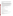From 1987 to 1993, according to EPA's Toxic Chemical Release Inventory, epichlorohydrin releases to land and water totalled over 65,000 lbs., of which about two-thirds was to water. These releases were primarily from industrial organic chemical industries. The largest releases occurred in Alabama.

## **Environmental Fate**

 other solid surfaces. If released into water it will be lost primarily by evaporation (half-life 29 hr in a typical from its water solubility, is 123 which indicates that it is not appreciably adsorbed. After a spill of 20,000 gal following a train accident, water in wells closest to the spill were highly contaminated. Epichlorohydrin is relatively volatile and would therefore readily evaporate from near-surface soils and river) and hydrolysis (half-life 8.2 days). It will not adsorb appreciably to sediment. If spilled on land, it will evaporate and leach into the groundwater where it will hydrolyze. The Koc for epichlorohydrin, calculated

 water but data from field studies are lacking. In the atmosphere, epichlorohydrin will degrade by reaction with photochemically produced hydroxyl radicals (est half-life 4 days). It will not bioconcentrate appreciably in aquatic organisms. The log BCF has been estimated to be 0.66. Biodegradation and chemical reactions with ions and reactive species may accelerate its loss in soil and

There is a lack of monitoring data for epichlorohydrin in all but occupational settings. Humans will primarily be exposed to epichlorohydrin in occupational settings.

## **Chemical/Physical Properties**

CAS Number: 106-89-8

Color/ Form/Odor: A colorless liquid with a pungent, garlic-like odor.

M.P.: -48 C B.P.: 116.5 C

Vapor Pressure: 10 mm Hg at 16.6 C

Density/Spec. Grav.: 1.18 at 20 C

Octanol/Water Partition (Kow): Log Kow = 0.26

Solubility: 6.5% miscible in water at 10 C; Moderately soluble in water

Soil sorption coefficient: Koc estimated at 123; high mobility in soil

Odor/Taste Thresholds: Odor threshold in water is 0.5 to 1.0 mg/L.

Bioconcentration Factor: log BCF of 0.66 (species not reported); not expected to bioconcentrate in aquatic organisms.

Henry's Law Coefficient: N/A

 Chloromethyloxirane, Glycerol epichlorhydrin, Glycidyl chloride Trade Names/Synonyms: (Chloromethyl)ethylene oxide, 1,2-Epoxy-3-chloropropane,

# **Other Regulatory Information**